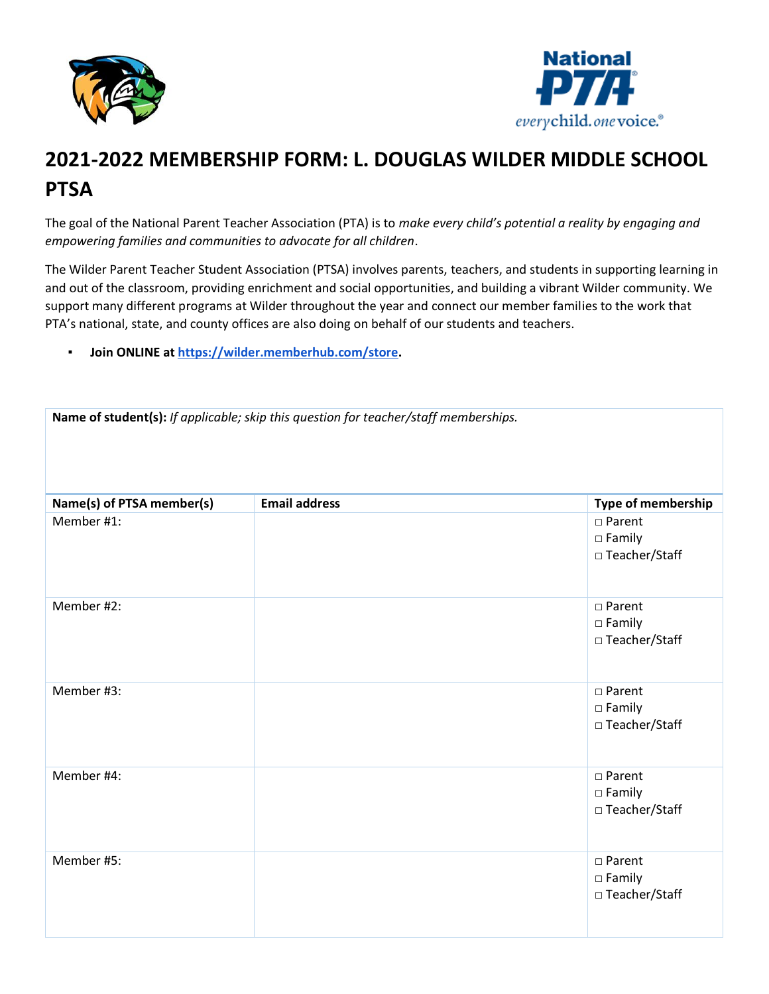



## **2021-2022 MEMBERSHIP FORM: L. DOUGLAS WILDER MIDDLE SCHOOL PTSA**

The goal of the National Parent Teacher Association (PTA) is to *make every child's potential a reality by engaging and empowering families and communities to advocate for all children*.

The Wilder Parent Teacher Student Association (PTSA) involves parents, teachers, and students in supporting learning in and out of the classroom, providing enrichment and social opportunities, and building a vibrant Wilder community. We support many different programs at Wilder throughout the year and connect our member families to the work that PTA's national, state, and county offices are also doing on behalf of our students and teachers.

▪ **Join ONLINE a[t https://wilder.memberhub.com/store.](https://wilder.memberhub.com/store)**

| Name of student(s): If applicable; skip this question for teacher/staff memberships. |                      |                                                         |
|--------------------------------------------------------------------------------------|----------------------|---------------------------------------------------------|
| Name(s) of PTSA member(s)                                                            | <b>Email address</b> | Type of membership                                      |
| Member #1:                                                                           |                      | $\square$ Parent<br>$\square$ Family<br>□ Teacher/Staff |
| Member #2:                                                                           |                      | $\square$ Parent<br>$\square$ Family<br>□ Teacher/Staff |
| Member #3:                                                                           |                      | $\square$ Parent<br>$\square$ Family<br>□ Teacher/Staff |
| Member #4:                                                                           |                      | □ Parent<br>$\square$ Family<br>□ Teacher/Staff         |
| Member #5:                                                                           |                      | □ Parent<br>$\square$ Family<br>□ Teacher/Staff         |